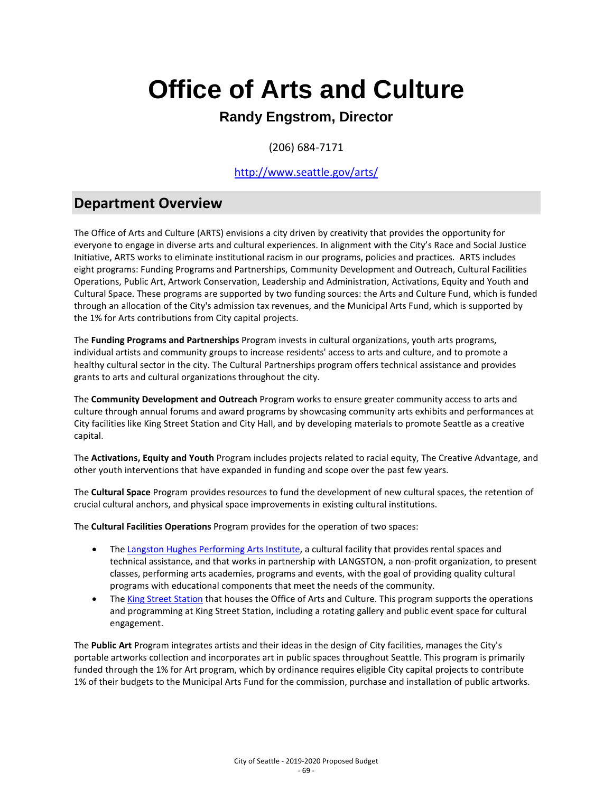### **Randy Engstrom, Director**

(206) 684-7171

### <http://www.seattle.gov/arts/>

### **Department Overview**

The Office of Arts and Culture (ARTS) envisions a city driven by creativity that provides the opportunity for everyone to engage in diverse arts and cultural experiences. In alignment with the City's Race and Social Justice Initiative, ARTS works to eliminate institutional racism in our programs, policies and practices. ARTS includes eight programs: Funding Programs and Partnerships, Community Development and Outreach, Cultural Facilities Operations, Public Art, Artwork Conservation, Leadership and Administration, Activations, Equity and Youth and Cultural Space. These programs are supported by two funding sources: the Arts and Culture Fund, which is funded through an allocation of the City's admission tax revenues, and the Municipal Arts Fund, which is supported by the 1% for Arts contributions from City capital projects.

The **Funding Programs and Partnerships** Program invests in cultural organizations, youth arts programs, individual artists and community groups to increase residents' access to arts and culture, and to promote a healthy cultural sector in the city. The Cultural Partnerships program offers technical assistance and provides grants to arts and cultural organizations throughout the city.

The **Community Development and Outreach** Program works to ensure greater community access to arts and culture through annual forums and award programs by showcasing community arts exhibits and performances at City facilities like King Street Station and City Hall, and by developing materials to promote Seattle as a creative capital.

The **Activations, Equity and Youth** Program includes projects related to racial equity, The Creative Advantage, and other youth interventions that have expanded in funding and scope over the past few years.

The **Cultural Space** Program provides resources to fund the development of new cultural spaces, the retention of crucial cultural anchors, and physical space improvements in existing cultural institutions.

The **Cultural Facilities Operations** Program provides for the operation of two spaces:

- The [Langston Hughes Performing Arts Institute,](http://www.seattle.gov/arts/lhpai) a cultural facility that provides rental spaces and technical assistance, and that works in partnership with LANGSTON, a non-profit organization, to present classes, performing arts academies, programs and events, with the goal of providing quality cultural programs with educational components that meet the needs of the community.
- The [King Street Station](http://www.seattle.gov/arts/king-street-station) that houses the Office of Arts and Culture. This program supports the operations and programming at King Street Station, including a rotating gallery and public event space for cultural engagement.

The **Public Art** Program integrates artists and their ideas in the design of City facilities, manages the City's portable artworks collection and incorporates art in public spaces throughout Seattle. This program is primarily funded through the 1% for Art program, which by ordinance requires eligible City capital projects to contribute 1% of their budgets to the Municipal Arts Fund for the commission, purchase and installation of public artworks.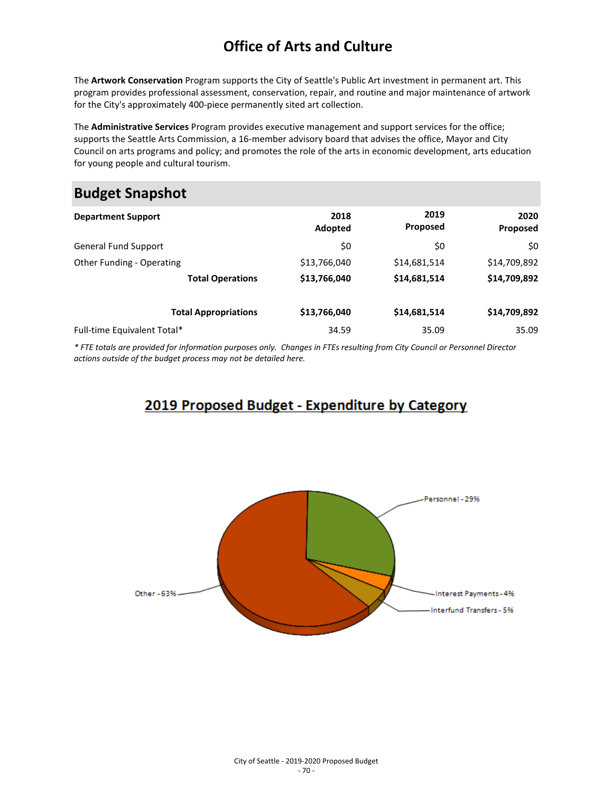The **Artwork Conservation** Program supports the City of Seattle's Public Art investment in permanent art. This program provides professional assessment, conservation, repair, and routine and major maintenance of artwork for the City's approximately 400-piece permanently sited art collection.

The **Administrative Services** Program provides executive management and support services for the office; supports the Seattle Arts Commission, a 16-member advisory board that advises the office, Mayor and City Council on arts programs and policy; and promotes the role of the arts in economic development, arts education for young people and cultural tourism.

## **Budget Snapshot**

| <b>Department Support</b>   |                         | 2018<br>Adopted | 2019<br>Proposed | 2020<br>Proposed |
|-----------------------------|-------------------------|-----------------|------------------|------------------|
| <b>General Fund Support</b> |                         | \$0             | \$0              | \$0              |
| Other Funding - Operating   |                         | \$13,766,040    | \$14,681,514     | \$14,709,892     |
|                             | <b>Total Operations</b> | \$13,766,040    | \$14,681,514     | \$14,709,892     |
| <b>Total Appropriations</b> |                         | \$13,766,040    | \$14,681,514     | \$14,709,892     |
| Full-time Equivalent Total* |                         | 34.59           | 35.09            | 35.09            |

*\* FTE totals are provided for information purposes only. Changes in FTEs resulting from City Council or Personnel Director actions outside of the budget process may not be detailed here.*

### 2019 Proposed Budget - Expenditure by Category

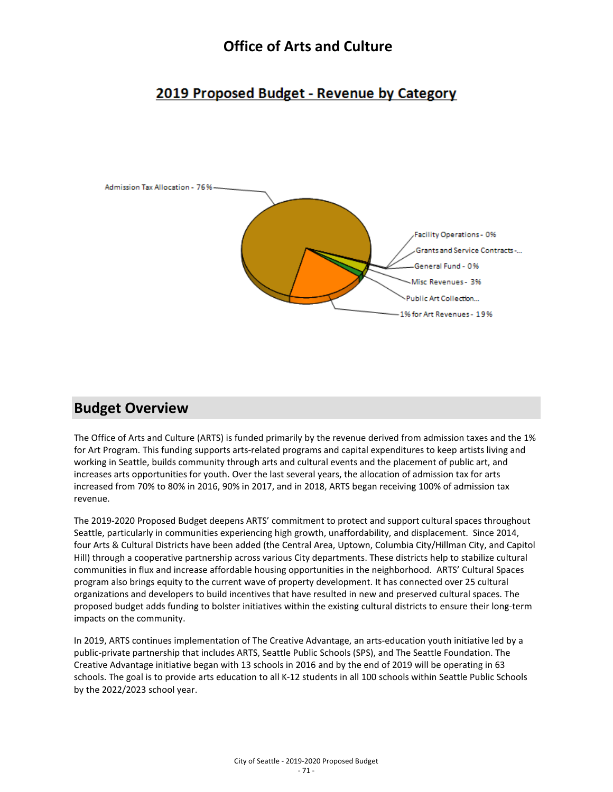### 2019 Proposed Budget - Revenue by Category



### **Budget Overview**

The Office of Arts and Culture (ARTS) is funded primarily by the revenue derived from admission taxes and the 1% for Art Program. This funding supports arts-related programs and capital expenditures to keep artists living and working in Seattle, builds community through arts and cultural events and the placement of public art, and increases arts opportunities for youth. Over the last several years, the allocation of admission tax for arts increased from 70% to 80% in 2016, 90% in 2017, and in 2018, ARTS began receiving 100% of admission tax revenue.

The 2019-2020 Proposed Budget deepens ARTS' commitment to protect and support cultural spaces throughout Seattle, particularly in communities experiencing high growth, unaffordability, and displacement. Since 2014, four Arts & Cultural Districts have been added (the Central Area, Uptown, Columbia City/Hillman City, and Capitol Hill) through a cooperative partnership across various City departments. These districts help to stabilize cultural communities in flux and increase affordable housing opportunities in the neighborhood. ARTS' Cultural Spaces program also brings equity to the current wave of property development. It has connected over 25 cultural organizations and developers to build incentives that have resulted in new and preserved cultural spaces. The proposed budget adds funding to bolster initiatives within the existing cultural districts to ensure their long-term impacts on the community.

In 2019, ARTS continues implementation of The Creative Advantage, an arts-education youth initiative led by a public-private partnership that includes ARTS, Seattle Public Schools (SPS), and The Seattle Foundation. The Creative Advantage initiative began with 13 schools in 2016 and by the end of 2019 will be operating in 63 schools. The goal is to provide arts education to all K-12 students in all 100 schools within Seattle Public Schools by the 2022/2023 school year.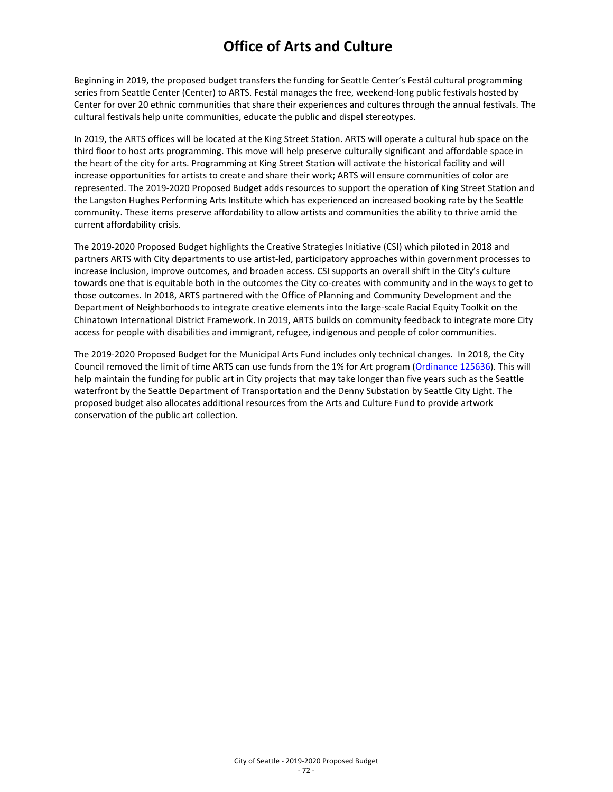Beginning in 2019, the proposed budget transfers the funding for Seattle Center's Festál cultural programming series from Seattle Center (Center) to ARTS. Festál manages the free, weekend-long public festivals hosted by Center for over 20 ethnic communities that share their experiences and cultures through the annual festivals. The cultural festivals help unite communities, educate the public and dispel stereotypes.

In 2019, the ARTS offices will be located at the King Street Station. ARTS will operate a cultural hub space on the third floor to host arts programming. This move will help preserve culturally significant and affordable space in the heart of the city for arts. Programming at King Street Station will activate the historical facility and will increase opportunities for artists to create and share their work; ARTS will ensure communities of color are represented. The 2019-2020 Proposed Budget adds resources to support the operation of King Street Station and the Langston Hughes Performing Arts Institute which has experienced an increased booking rate by the Seattle community. These items preserve affordability to allow artists and communities the ability to thrive amid the current affordability crisis.

The 2019-2020 Proposed Budget highlights the Creative Strategies Initiative (CSI) which piloted in 2018 and partners ARTS with City departments to use artist-led, participatory approaches within government processes to increase inclusion, improve outcomes, and broaden access. CSI supports an overall shift in the City's culture towards one that is equitable both in the outcomes the City co-creates with community and in the ways to get to those outcomes. In 2018, ARTS partnered with the Office of Planning and Community Development and the Department of Neighborhoods to integrate creative elements into the large-scale Racial Equity Toolkit on the Chinatown International District Framework. In 2019, ARTS builds on community feedback to integrate more City access for people with disabilities and immigrant, refugee, indigenous and people of color communities.

The 2019-2020 Proposed Budget for the Municipal Arts Fund includes only technical changes. In 2018, the City Council removed the limit of time ARTS can use funds from the 1% for Art program [\(Ordinance 125636\)](https://seattle.legistar.com/LegislationDetail.aspx?ID=3547459&GUID=A0D3F91D-28A9-4F1E-958D-F6BD3308BB9E&Options=Advanced&Search=). This will help maintain the funding for public art in City projects that may take longer than five years such as the Seattle waterfront by the Seattle Department of Transportation and the Denny Substation by Seattle City Light. The proposed budget also allocates additional resources from the Arts and Culture Fund to provide artwork conservation of the public art collection.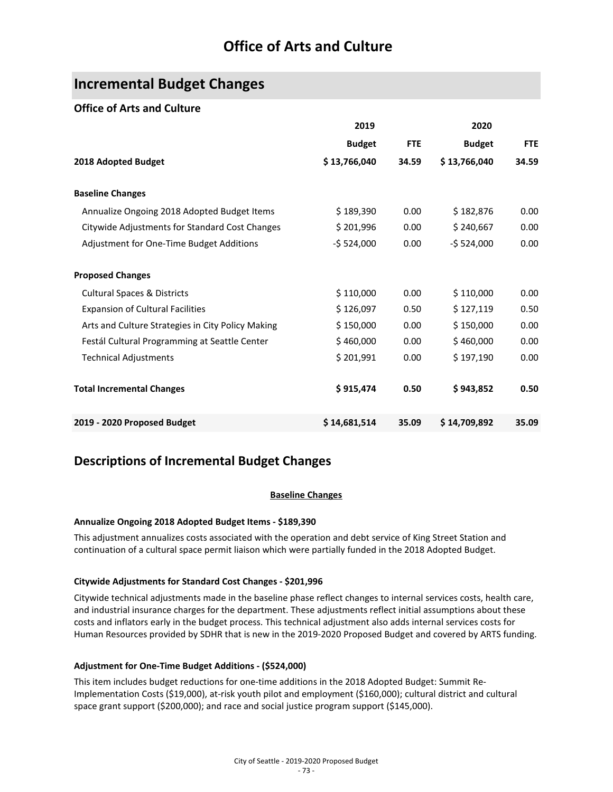### **Incremental Budget Changes**

#### **Office of Arts and Culture**

|                                                   | 2019          |            | 2020          |            |
|---------------------------------------------------|---------------|------------|---------------|------------|
|                                                   | <b>Budget</b> | <b>FTE</b> | <b>Budget</b> | <b>FTE</b> |
| 2018 Adopted Budget                               | \$13,766,040  | 34.59      | \$13,766,040  | 34.59      |
| <b>Baseline Changes</b>                           |               |            |               |            |
| Annualize Ongoing 2018 Adopted Budget Items       | \$189,390     | 0.00       | \$182,876     | 0.00       |
| Citywide Adjustments for Standard Cost Changes    | \$201,996     | 0.00       | \$240,667     | 0.00       |
| Adjustment for One-Time Budget Additions          | $-5524,000$   | 0.00       | $-5524,000$   | 0.00       |
| <b>Proposed Changes</b>                           |               |            |               |            |
| <b>Cultural Spaces &amp; Districts</b>            | \$110,000     | 0.00       | \$110,000     | 0.00       |
| <b>Expansion of Cultural Facilities</b>           | \$126,097     | 0.50       | \$127,119     | 0.50       |
| Arts and Culture Strategies in City Policy Making | \$150,000     | 0.00       | \$150,000     | 0.00       |
| Festál Cultural Programming at Seattle Center     | \$460,000     | 0.00       | \$460,000     | 0.00       |
| <b>Technical Adjustments</b>                      | \$201,991     | 0.00       | \$197,190     | 0.00       |
| <b>Total Incremental Changes</b>                  | \$915,474     | 0.50       | \$943,852     | 0.50       |
| 2019 - 2020 Proposed Budget                       | \$14,681,514  | 35.09      | \$14,709,892  | 35.09      |

### **Descriptions of Incremental Budget Changes**

#### **Baseline Changes**

#### **Annualize Ongoing 2018 Adopted Budget Items - \$189,390**

This adjustment annualizes costs associated with the operation and debt service of King Street Station and continuation of a cultural space permit liaison which were partially funded in the 2018 Adopted Budget.

#### **Citywide Adjustments for Standard Cost Changes - \$201,996**

Citywide technical adjustments made in the baseline phase reflect changes to internal services costs, health care, and industrial insurance charges for the department. These adjustments reflect initial assumptions about these costs and inflators early in the budget process. This technical adjustment also adds internal services costs for Human Resources provided by SDHR that is new in the 2019-2020 Proposed Budget and covered by ARTS funding.

#### **Adjustment for One-Time Budget Additions - (\$524,000)**

This item includes budget reductions for one-time additions in the 2018 Adopted Budget: Summit Re-Implementation Costs (\$19,000), at-risk youth pilot and employment (\$160,000); cultural district and cultural space grant support (\$200,000); and race and social justice program support (\$145,000).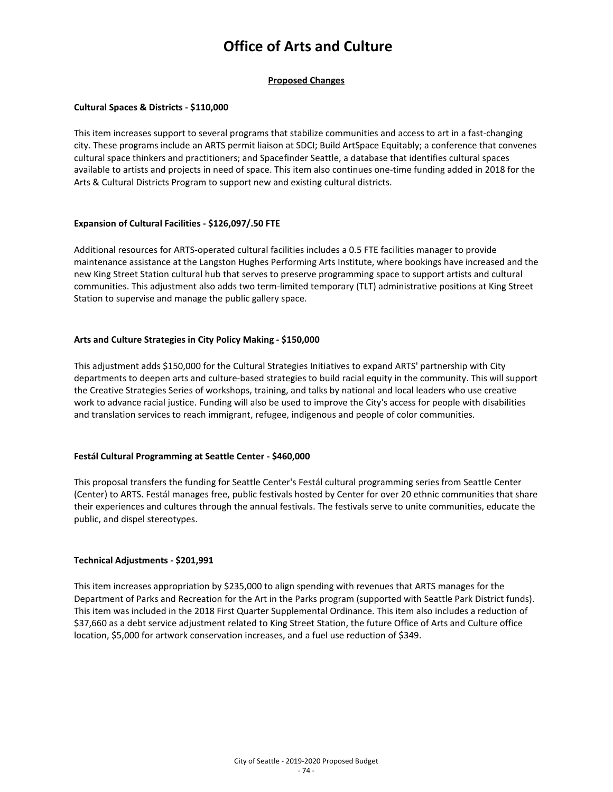#### **Proposed Changes**

#### **Cultural Spaces & Districts - \$110,000**

This item increases support to several programs that stabilize communities and access to art in a fast-changing city. These programs include an ARTS permit liaison at SDCI; Build ArtSpace Equitably; a conference that convenes cultural space thinkers and practitioners; and Spacefinder Seattle, a database that identifies cultural spaces available to artists and projects in need of space. This item also continues one-time funding added in 2018 for the Arts & Cultural Districts Program to support new and existing cultural districts.

#### **Expansion of Cultural Facilities - \$126,097/.50 FTE**

Additional resources for ARTS-operated cultural facilities includes a 0.5 FTE facilities manager to provide maintenance assistance at the Langston Hughes Performing Arts Institute, where bookings have increased and the new King Street Station cultural hub that serves to preserve programming space to support artists and cultural communities. This adjustment also adds two term-limited temporary (TLT) administrative positions at King Street Station to supervise and manage the public gallery space.

#### **Arts and Culture Strategies in City Policy Making - \$150,000**

This adjustment adds \$150,000 for the Cultural Strategies Initiatives to expand ARTS' partnership with City departments to deepen arts and culture-based strategies to build racial equity in the community. This will support the Creative Strategies Series of workshops, training, and talks by national and local leaders who use creative work to advance racial justice. Funding will also be used to improve the City's access for people with disabilities and translation services to reach immigrant, refugee, indigenous and people of color communities.

#### **Festál Cultural Programming at Seattle Center - \$460,000**

This proposal transfers the funding for Seattle Center's Festál cultural programming series from Seattle Center (Center) to ARTS. Festál manages free, public festivals hosted by Center for over 20 ethnic communities that share their experiences and cultures through the annual festivals. The festivals serve to unite communities, educate the public, and dispel stereotypes.

#### **Technical Adjustments - \$201,991**

This item increases appropriation by \$235,000 to align spending with revenues that ARTS manages for the Department of Parks and Recreation for the Art in the Parks program (supported with Seattle Park District funds). This item was included in the 2018 First Quarter Supplemental Ordinance. This item also includes a reduction of \$37,660 as a debt service adjustment related to King Street Station, the future Office of Arts and Culture office location, \$5,000 for artwork conservation increases, and a fuel use reduction of \$349.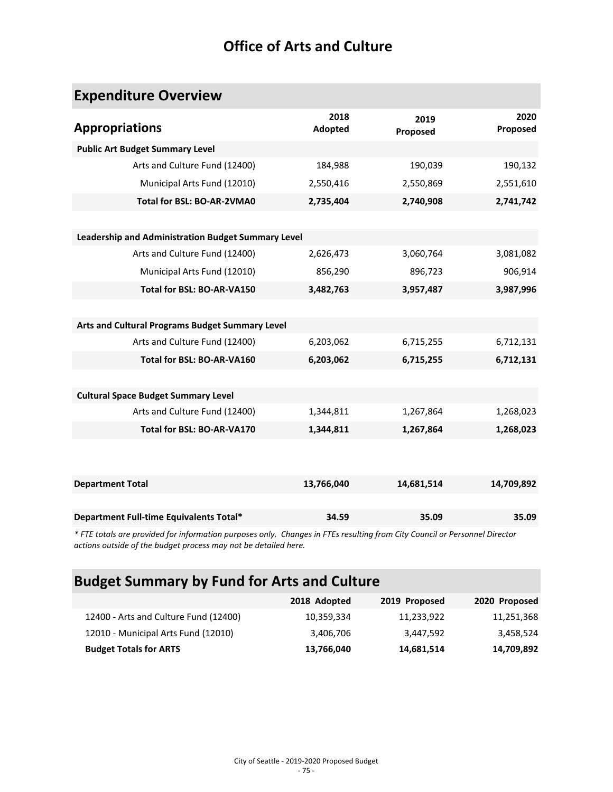# **Expenditure Overview**

| 2018<br><b>Adopted</b>                             | 2019<br>Proposed | 2020<br>Proposed |
|----------------------------------------------------|------------------|------------------|
|                                                    |                  |                  |
| 184,988                                            | 190,039          | 190,132          |
| 2,550,416                                          | 2,550,869        | 2,551,610        |
| 2,735,404                                          | 2,740,908        | 2,741,742        |
|                                                    |                  |                  |
| Leadership and Administration Budget Summary Level |                  |                  |
| 2,626,473                                          | 3,060,764        | 3,081,082        |
| 856,290                                            | 896,723          | 906,914          |
| 3,482,763                                          | 3,957,487        | 3,987,996        |
|                                                    |                  |                  |
|                                                    |                  |                  |
| 6,203,062                                          | 6,715,255        | 6,712,131        |
| 6,203,062                                          | 6,715,255        | 6,712,131        |
|                                                    |                  |                  |
|                                                    |                  |                  |
| 1,344,811                                          | 1,267,864        | 1,268,023        |
| 1,344,811                                          | 1,267,864        | 1,268,023        |
|                                                    |                  |                  |
|                                                    |                  |                  |
| 13,766,040                                         | 14,681,514       | 14,709,892       |
|                                                    |                  |                  |
| 34.59                                              | 35.09            | 35.09            |
|                                                    |                  |                  |

*\* FTE totals are provided for information purposes only. Changes in FTEs resulting from City Council or Personnel Director actions outside of the budget process may not be detailed here.*

# **Budget Summary by Fund for Arts and Culture**

|                                       | 2018 Adopted | 2019 Proposed | 2020 Proposed |
|---------------------------------------|--------------|---------------|---------------|
| 12400 - Arts and Culture Fund (12400) | 10,359,334   | 11,233,922    | 11,251,368    |
| 12010 - Municipal Arts Fund (12010)   | 3,406,706    | 3.447.592     | 3,458,524     |
| <b>Budget Totals for ARTS</b>         | 13,766,040   | 14,681,514    | 14,709,892    |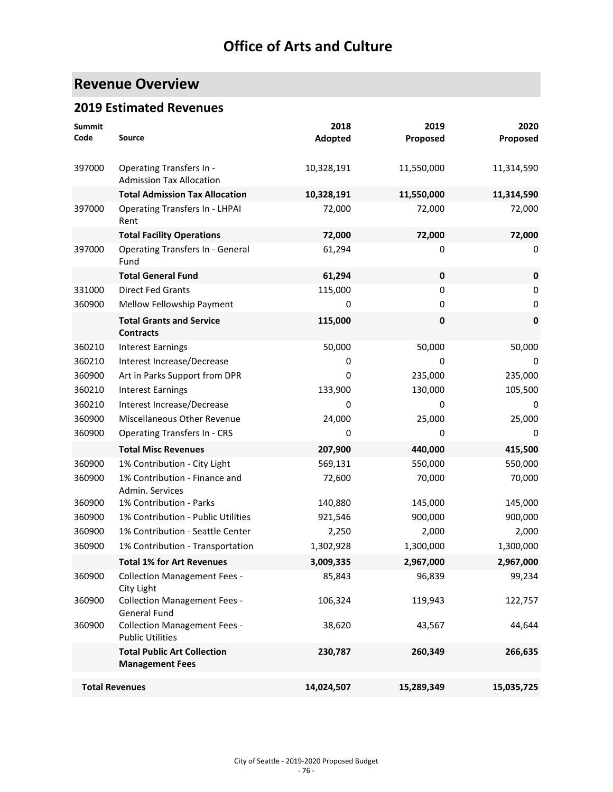# **Revenue Overview**

### **2019 Estimated Revenues**

| <b>Summit</b><br>Code | Source                                                         | 2018<br>Adopted | 2019<br>Proposed | 2020<br>Proposed |
|-----------------------|----------------------------------------------------------------|-----------------|------------------|------------------|
| 397000                | Operating Transfers In -<br><b>Admission Tax Allocation</b>    | 10,328,191      | 11,550,000       | 11,314,590       |
|                       | <b>Total Admission Tax Allocation</b>                          | 10,328,191      | 11,550,000       | 11,314,590       |
| 397000                | <b>Operating Transfers In - LHPAI</b><br>Rent                  | 72,000          | 72,000           | 72,000           |
|                       | <b>Total Facility Operations</b>                               | 72,000          | 72,000           | 72,000           |
| 397000                | <b>Operating Transfers In - General</b><br>Fund                | 61,294          | 0                | 0                |
|                       | <b>Total General Fund</b>                                      | 61,294          | $\pmb{0}$        | $\mathbf 0$      |
| 331000                | <b>Direct Fed Grants</b>                                       | 115,000         | $\mathbf 0$      | 0                |
| 360900                | Mellow Fellowship Payment                                      | 0               | 0                | 0                |
|                       | <b>Total Grants and Service</b><br><b>Contracts</b>            | 115,000         | $\mathbf 0$      | $\pmb{0}$        |
| 360210                | <b>Interest Earnings</b>                                       | 50,000          | 50,000           | 50,000           |
| 360210                | Interest Increase/Decrease                                     | 0               | 0                | 0                |
| 360900                | Art in Parks Support from DPR                                  | 0               | 235,000          | 235,000          |
| 360210                | <b>Interest Earnings</b>                                       | 133,900         | 130,000          | 105,500          |
| 360210                | Interest Increase/Decrease                                     | 0               | 0                | 0                |
| 360900                | Miscellaneous Other Revenue                                    | 24,000          | 25,000           | 25,000           |
| 360900                | <b>Operating Transfers In - CRS</b>                            | 0               | 0                | 0                |
|                       | <b>Total Misc Revenues</b>                                     | 207,900         | 440,000          | 415,500          |
| 360900                | 1% Contribution - City Light                                   | 569,131         | 550,000          | 550,000          |
| 360900                | 1% Contribution - Finance and<br>Admin. Services               | 72,600          | 70,000           | 70,000           |
| 360900                | 1% Contribution - Parks                                        | 140,880         | 145,000          | 145,000          |
| 360900                | 1% Contribution - Public Utilities                             | 921,546         | 900,000          | 900,000          |
| 360900                | 1% Contribution - Seattle Center                               | 2,250           | 2,000            | 2,000            |
| 360900                | 1% Contribution - Transportation                               | 1,302,928       | 1,300,000        | 1,300,000        |
|                       | <b>Total 1% for Art Revenues</b>                               | 3,009,335       | 2,967,000        | 2,967,000        |
| 360900                | <b>Collection Management Fees -</b><br>City Light              | 85,843          | 96,839           | 99,234           |
| 360900                | <b>Collection Management Fees -</b><br><b>General Fund</b>     | 106,324         | 119,943          | 122,757          |
| 360900                | <b>Collection Management Fees -</b><br><b>Public Utilities</b> | 38,620          | 43,567           | 44,644           |
|                       | <b>Total Public Art Collection</b><br><b>Management Fees</b>   | 230,787         | 260,349          | 266,635          |
| <b>Total Revenues</b> |                                                                | 14,024,507      | 15,289,349       | 15,035,725       |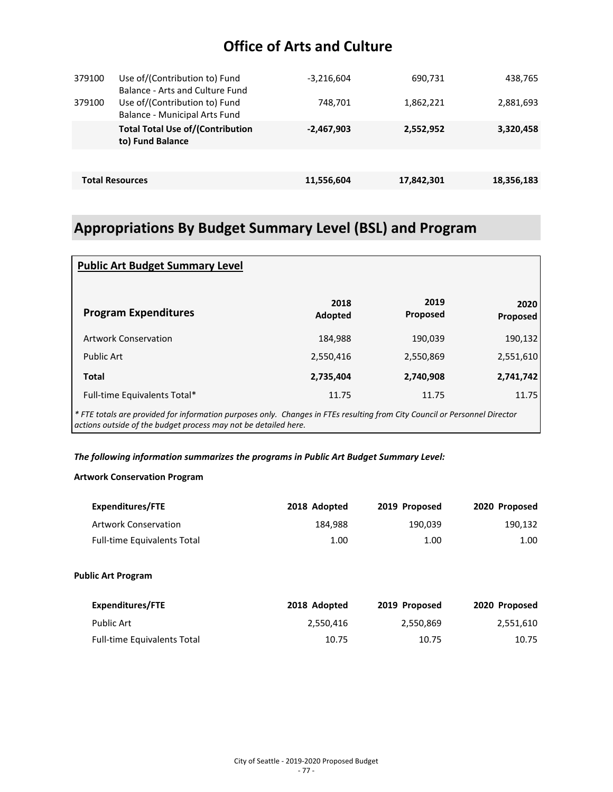| Use of/(Contribution to) Fund<br>Balance - Arts and Culture Fund      | $-3,216,604$ | 690,731    | 438,765    |
|-----------------------------------------------------------------------|--------------|------------|------------|
| Use of/(Contribution to) Fund<br><b>Balance - Municipal Arts Fund</b> | 748,701      | 1,862,221  | 2,881,693  |
| <b>Total Total Use of/(Contribution</b><br>to) Fund Balance           | $-2,467,903$ | 2,552,952  | 3,320,458  |
|                                                                       |              |            |            |
| <b>Total Resources</b>                                                | 11,556,604   | 17,842,301 | 18,356,183 |
|                                                                       |              |            |            |

# **Appropriations By Budget Summary Level (BSL) and Program**

| <b>Public Art Budget Summary Level</b>                                                                                                                                                        |                 |                  |                  |
|-----------------------------------------------------------------------------------------------------------------------------------------------------------------------------------------------|-----------------|------------------|------------------|
| <b>Program Expenditures</b>                                                                                                                                                                   | 2018<br>Adopted | 2019<br>Proposed | 2020<br>Proposed |
| <b>Artwork Conservation</b>                                                                                                                                                                   | 184,988         | 190,039          | 190,132          |
| <b>Public Art</b>                                                                                                                                                                             | 2,550,416       | 2,550,869        | 2,551,610        |
| <b>Total</b>                                                                                                                                                                                  | 2,735,404       | 2,740,908        | 2,741,742        |
| Full-time Equivalents Total*                                                                                                                                                                  | 11.75           | 11.75            | 11.75            |
| * FTE totals are provided for information purposes only. Changes in FTEs resulting from City Council or Personnel Director<br>actions outside of the budget process may not be detailed here. |                 |                  |                  |

#### *The following information summarizes the programs in Public Art Budget Summary Level:*

#### **Artwork Conservation Program**

| <b>Expenditures/FTE</b>            | 2018 Adopted | 2019 Proposed | 2020 Proposed |
|------------------------------------|--------------|---------------|---------------|
| <b>Artwork Conservation</b>        | 184,988      | 190,039       | 190,132       |
| <b>Full-time Equivalents Total</b> | 1.00         | 1.00          | 1.00          |
| <b>Public Art Program</b>          |              |               |               |
| <b>Expenditures/FTE</b>            | 2018 Adopted | 2019 Proposed | 2020 Proposed |
| <b>Public Art</b>                  | 2,550,416    | 2,550,869     | 2,551,610     |
| Full-time Equivalents Total        | 10.75        | 10.75         | 10.75         |
|                                    |              |               |               |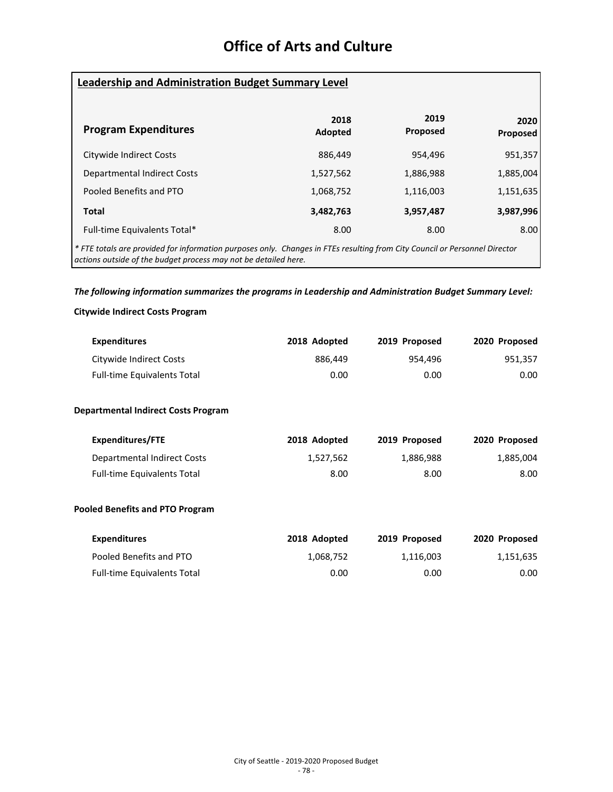| <b>Leadership and Administration Budget Summary Level</b>                                                                  |                 |                  |                  |  |
|----------------------------------------------------------------------------------------------------------------------------|-----------------|------------------|------------------|--|
| <b>Program Expenditures</b>                                                                                                | 2018<br>Adopted | 2019<br>Proposed | 2020<br>Proposed |  |
| Citywide Indirect Costs                                                                                                    | 886,449         | 954,496          | 951,357          |  |
| <b>Departmental Indirect Costs</b>                                                                                         | 1,527,562       | 1,886,988        | 1,885,004        |  |
| Pooled Benefits and PTO                                                                                                    | 1,068,752       | 1,116,003        | 1,151,635        |  |
| <b>Total</b>                                                                                                               | 3,482,763       | 3,957,487        | 3,987,996        |  |
| Full-time Equivalents Total*                                                                                               | 8.00            | 8.00             | 8.00             |  |
| * FTE totals are provided for information purposes only. Changes in FTEs resulting from City Council or Personnel Director |                 |                  |                  |  |

*actions outside of the budget process may not be detailed here.*

#### *The following information summarizes the programs in Leadership and Administration Budget Summary Level:*

#### **Citywide Indirect Costs Program**

| <b>Expenditures</b>                        | 2018 Adopted | 2019 Proposed | 2020 Proposed |
|--------------------------------------------|--------------|---------------|---------------|
| Citywide Indirect Costs                    | 886,449      | 954,496       | 951,357       |
| <b>Full-time Equivalents Total</b>         | 0.00         | 0.00          | 0.00          |
| <b>Departmental Indirect Costs Program</b> |              |               |               |
| <b>Expenditures/FTE</b>                    | 2018 Adopted | 2019 Proposed | 2020 Proposed |
| <b>Departmental Indirect Costs</b>         | 1,527,562    | 1,886,988     | 1,885,004     |
| <b>Full-time Equivalents Total</b>         | 8.00         | 8.00          | 8.00          |
| <b>Pooled Benefits and PTO Program</b>     |              |               |               |
| <b>Expenditures</b>                        | 2018 Adopted | 2019 Proposed | 2020 Proposed |
| Pooled Benefits and PTO                    | 1,068,752    | 1,116,003     | 1,151,635     |
| <b>Full-time Equivalents Total</b>         | 0.00         | 0.00          | 0.00          |
|                                            |              |               |               |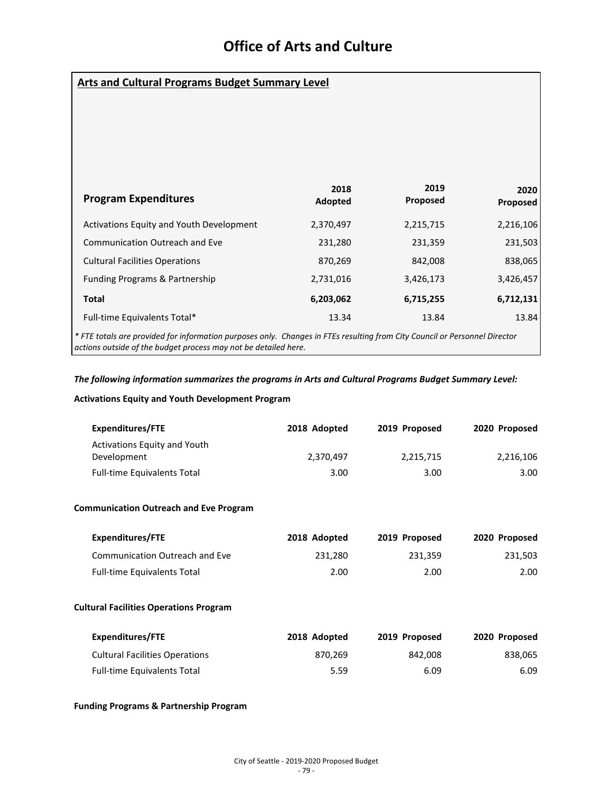| <b>Arts and Cultural Programs Budget Summary Level</b>                                                                                                                                        |                 |                  |                  |  |
|-----------------------------------------------------------------------------------------------------------------------------------------------------------------------------------------------|-----------------|------------------|------------------|--|
|                                                                                                                                                                                               |                 |                  |                  |  |
|                                                                                                                                                                                               |                 |                  |                  |  |
| <b>Program Expenditures</b>                                                                                                                                                                   | 2018<br>Adopted | 2019<br>Proposed | 2020<br>Proposed |  |
| Activations Equity and Youth Development                                                                                                                                                      | 2,370,497       | 2,215,715        | 2,216,106        |  |
| <b>Communication Outreach and Eve</b>                                                                                                                                                         | 231,280         | 231,359          | 231,503          |  |
| <b>Cultural Facilities Operations</b>                                                                                                                                                         | 870,269         | 842,008          | 838,065          |  |
| Funding Programs & Partnership                                                                                                                                                                | 2,731,016       | 3,426,173        | 3,426,457        |  |
| <b>Total</b>                                                                                                                                                                                  | 6,203,062       | 6,715,255        | 6,712,131        |  |
| Full-time Equivalents Total*                                                                                                                                                                  | 13.34           | 13.84            | 13.84            |  |
| * FTE totals are provided for information purposes only. Changes in FTEs resulting from City Council or Personnel Director<br>actions outside of the budget process may not be detailed here. |                 |                  |                  |  |

#### *The following information summarizes the programs in Arts and Cultural Programs Budget Summary Level:*

#### **Activations Equity and Youth Development Program**

| Expenditures/FTE                   | 2018 Adopted | 2019 Proposed | 2020 Proposed |
|------------------------------------|--------------|---------------|---------------|
| Activations Equity and Youth       |              |               |               |
| Development                        | 2.370.497    | 2,215,715     | 2,216,106     |
| <b>Full-time Equivalents Total</b> | 3.00         | 3.00          | 3.00          |

#### **Communication Outreach and Eve Program**

| Expenditures/FTE                   | 2018 Adopted | 2019 Proposed | 2020 Proposed |
|------------------------------------|--------------|---------------|---------------|
| Communication Outreach and Eve     | 231.280      | 231.359       | 231,503       |
| <b>Full-time Equivalents Total</b> | 2.00         | 2.00          | 2.00          |

#### **Cultural Facilities Operations Program**

| Expenditures/FTE                      | 2018 Adopted | 2019 Proposed | 2020 Proposed |
|---------------------------------------|--------------|---------------|---------------|
| <b>Cultural Facilities Operations</b> | 870.269      | 842.008       | 838.065       |
| <b>Full-time Equivalents Total</b>    | 5.59         | 6.09          | 6.09          |

#### **Funding Programs & Partnership Program**